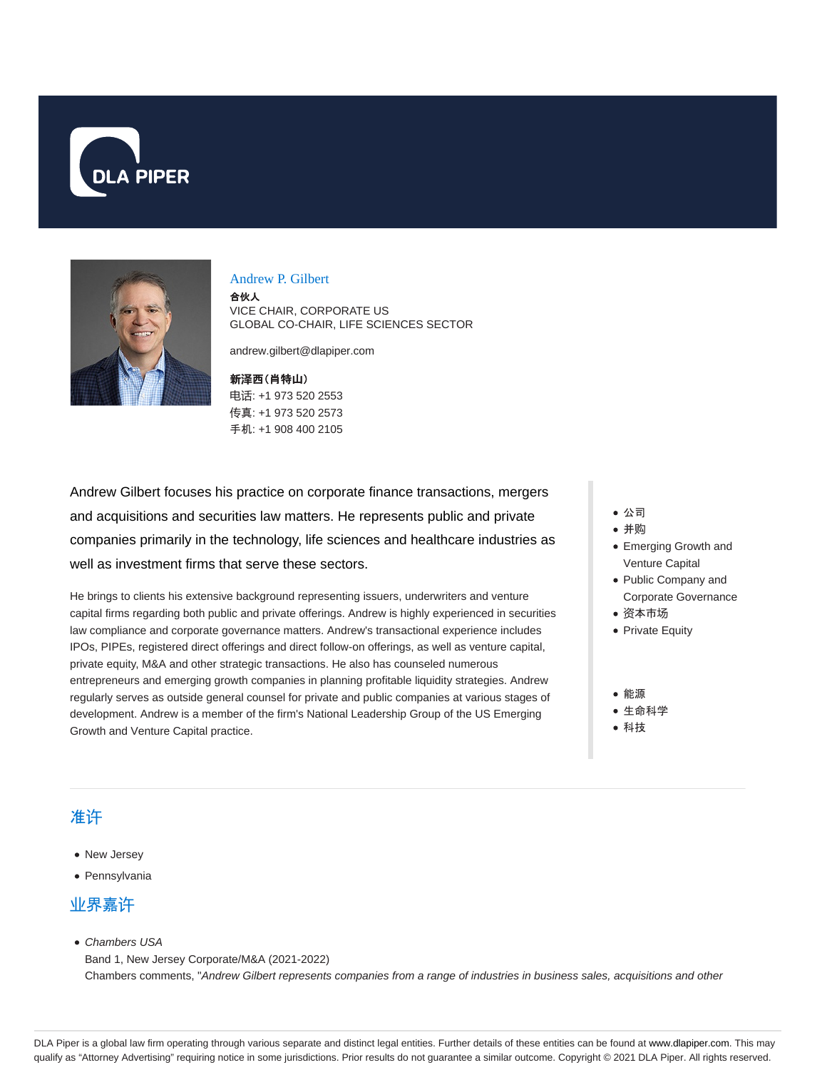



#### Andrew P. Gilbert

合伙人 VICE CHAIR, CORPORATE US GLOBAL CO-CHAIR, LIFE SCIENCES SECTOR

andrew.gilbert@dlapiper.com

新**泽**西(肖特山) 电话: +1 973 520 2553 传真: +1 973 520 2573 手机: +1 908 400 2105

Andrew Gilbert focuses his practice on corporate finance transactions, mergers and acquisitions and securities law matters. He represents public and private companies primarily in the technology, life sciences and healthcare industries as well as investment firms that serve these sectors.

He brings to clients his extensive background representing issuers, underwriters and venture capital firms regarding both public and private offerings. Andrew is highly experienced in securities law compliance and corporate governance matters. Andrew's transactional experience includes IPOs, PIPEs, registered direct offerings and direct follow-on offerings, as well as venture capital, private equity, M&A and other strategic transactions. He also has counseled numerous entrepreneurs and emerging growth companies in planning profitable liquidity strategies. Andrew regularly serves as outside general counsel for private and public companies at various stages of development. Andrew is a member of the firm's National Leadership Group of the US Emerging Growth and Venture Capital practice.

- 公司
- 并购
- Emerging Growth and Venture Capital
- Public Company and Corporate Governance
- 资本市场
- Private Equity
- 能源 生命科学
- 科技

### 准许

- New Jersey
- Pennsylvania

#### 业界嘉许

• Chambers USA

Band 1, New Jersey Corporate/M&A (2021-2022) Chambers comments, "Andrew Gilbert represents companies from a range of industries in business sales, acquisitions and other

DLA Piper is a global law firm operating through various separate and distinct legal entities. Further details of these entities can be found at www.dlapiper.com. This may qualify as "Attorney Advertising" requiring notice in some jurisdictions. Prior results do not guarantee a similar outcome. Copyright @ 2021 DLA Piper. All rights reserved.